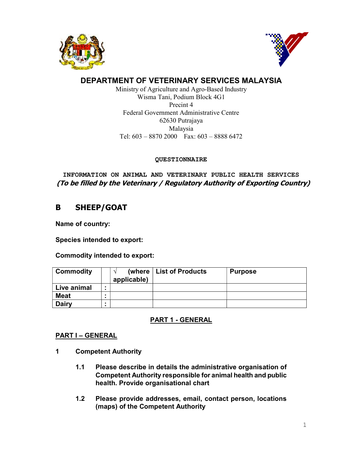



# DEPARTMENT OF VETERINARY SERVICES MALAYSIA

Ministry of Agriculture and Agro-Based Industry Wisma Tani, Podium Block 4G1 Precint 4 Federal Government Administrative Centre 62630 Putrajaya Malaysia Tel: 603 – 8870 2000 Fax: 603 – 8888 6472

# QUESTIONNAIRE

 INFORMATION ON ANIMAL AND VETERINARY PUBLIC HEALTH SERVICES (To be filled by the Veterinary / Regulatory Authority of Exporting Country)

# B SHEEP/GOAT

Name of country:

Species intended to export:

Commodity intended to export:

| <b>Commodity</b> | $\Delta$<br>applicable) | (where   List of Products | <b>Purpose</b> |
|------------------|-------------------------|---------------------------|----------------|
| Live animal      |                         |                           |                |
| <b>Meat</b>      |                         |                           |                |
| <b>Dairy</b>     |                         |                           |                |

# PART 1 - GENERAL

# PART I – GENERAL

- 1 Competent Authority
	- 1.1 Please describe in details the administrative organisation of Competent Authority responsible for animal health and public health. Provide organisational chart
	- 1.2 Please provide addresses, email, contact person, locations (maps) of the Competent Authority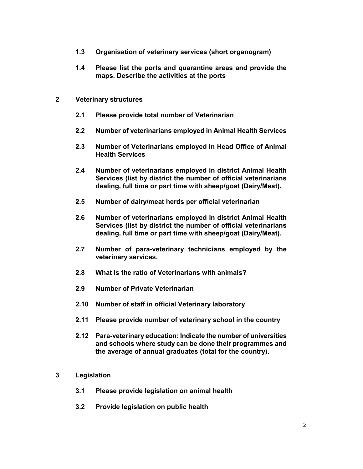- 1.3 Organisation of veterinary services (short organogram)
- 1.4 Please list the ports and quarantine areas and provide the maps. Describe the activities at the ports
- 2 Veterinary structures
	- 2.1 Please provide total number of Veterinarian
	- 2.2 Number of veterinarians employed in Animal Health Services
	- 2.3 Number of Veterinarians employed in Head Office of Animal Health Services
	- 2.4 Number of veterinarians employed in district Animal Health Services (list by district the number of official veterinarians dealing, full time or part time with sheep/goat (Dairy/Meat).
	- 2.5 Number of dairy/meat herds per official veterinarian
	- 2.6 Number of veterinarians employed in district Animal Health Services (list by district the number of official veterinarians dealing, full time or part time with sheep/goat (Dairy/Meat).
	- 2.7 Number of para-veterinary technicians employed by the veterinary services.
	- 2.8 What is the ratio of Veterinarians with animals?
	- 2.9 Number of Private Veterinarian
	- 2.10 Number of staff in official Veterinary laboratory
	- 2.11 Please provide number of veterinary school in the country
	- 2.12 Para-veterinary education: Indicate the number of universities and schools where study can be done their programmes and the average of annual graduates (total for the country).
- 3 Legislation
	- 3.1 Please provide legislation on animal health
	- 3.2 Provide legislation on public health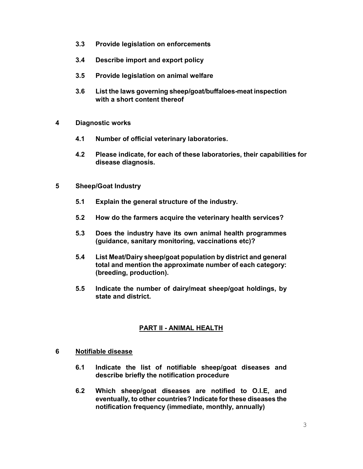- 3.3 Provide legislation on enforcements
- 3.4 Describe import and export policy
- 3.5 Provide legislation on animal welfare
- 3.6 List the laws governing sheep/goat/buffaloes-meat inspection with a short content thereof
- 4 Diagnostic works
	- 4.1 Number of official veterinary laboratories.
	- 4.2 Please indicate, for each of these laboratories, their capabilities for disease diagnosis.
- 5 Sheep/Goat Industry
	- 5.1 Explain the general structure of the industry.
	- 5.2 How do the farmers acquire the veterinary health services?
	- 5.3 Does the industry have its own animal health programmes (guidance, sanitary monitoring, vaccinations etc)?
	- 5.4 List Meat/Dairy sheep/goat population by district and general total and mention the approximate number of each category: (breeding, production).
	- 5.5 Indicate the number of dairy/meat sheep/goat holdings, by state and district.

# PART II - ANIMAL HEALTH

#### 6 Notifiable disease

- 6.1 Indicate the list of notifiable sheep/goat diseases and describe briefly the notification procedure
- 6.2 Which sheep/goat diseases are notified to O.I.E, and eventually, to other countries? Indicate for these diseases the notification frequency (immediate, monthly, annually)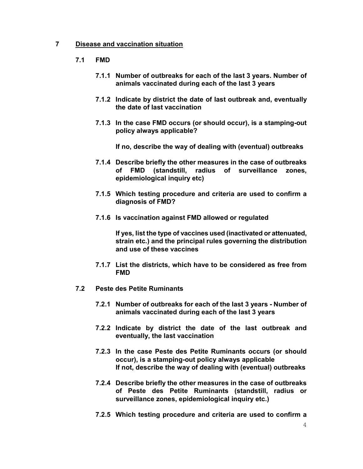### 7 Disease and vaccination situation

- 7.1 FMD
	- 7.1.1 Number of outbreaks for each of the last 3 years. Number of animals vaccinated during each of the last 3 years
	- 7.1.2 Indicate by district the date of last outbreak and, eventually the date of last vaccination
	- 7.1.3 In the case FMD occurs (or should occur), is a stamping-out policy always applicable?

If no, describe the way of dealing with (eventual) outbreaks

- 7.1.4 Describe briefly the other measures in the case of outbreaks of FMD (standstill, radius of surveillance zones, epidemiological inquiry etc)
- 7.1.5 Which testing procedure and criteria are used to confirm a diagnosis of FMD?
- 7.1.6 Is vaccination against FMD allowed or regulated

If yes, list the type of vaccines used (inactivated or attenuated, strain etc.) and the principal rules governing the distribution and use of these vaccines

- 7.1.7 List the districts, which have to be considered as free from FMD
- 7.2 Peste des Petite Ruminants
	- 7.2.1 Number of outbreaks for each of the last 3 years Number of animals vaccinated during each of the last 3 years
	- 7.2.2 Indicate by district the date of the last outbreak and eventually, the last vaccination
	- 7.2.3 In the case Peste des Petite Ruminants occurs (or should occur), is a stamping-out policy always applicable If not, describe the way of dealing with (eventual) outbreaks
	- 7.2.4 Describe briefly the other measures in the case of outbreaks of Peste des Petite Ruminants (standstill, radius or surveillance zones, epidemiological inquiry etc.)
	- 7.2.5 Which testing procedure and criteria are used to confirm a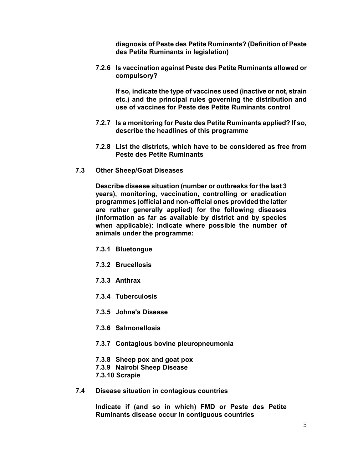diagnosis of Peste des Petite Ruminants? (Definition of Peste des Petite Ruminants in legislation)

7.2.6 Is vaccination against Peste des Petite Ruminants allowed or compulsory?

If so, indicate the type of vaccines used (inactive or not, strain etc.) and the principal rules governing the distribution and use of vaccines for Peste des Petite Ruminants control

- 7.2.7 Is a monitoring for Peste des Petite Ruminants applied? If so, describe the headlines of this programme
- 7.2.8 List the districts, which have to be considered as free from Peste des Petite Ruminants
- 7.3 Other Sheep/Goat Diseases

Describe disease situation (number or outbreaks for the last 3 years), monitoring, vaccination, controlling or eradication programmes (official and non-official ones provided the latter are rather generally applied) for the following diseases (information as far as available by district and by species when applicable): indicate where possible the number of animals under the programme:

- 7.3.1 Bluetongue
- 7.3.2 Brucellosis
- 7.3.3 Anthrax
- 7.3.4 Tuberculosis
- 7.3.5 Johne's Disease
- 7.3.6 Salmonellosis
- 7.3.7 Contagious bovine pleuropneumonia
- 7.3.8 Sheep pox and goat pox
- 7.3.9 Nairobi Sheep Disease
- 7.3.10 Scrapie
- 7.4 Disease situation in contagious countries

Indicate if (and so in which) FMD or Peste des Petite Ruminants disease occur in contiguous countries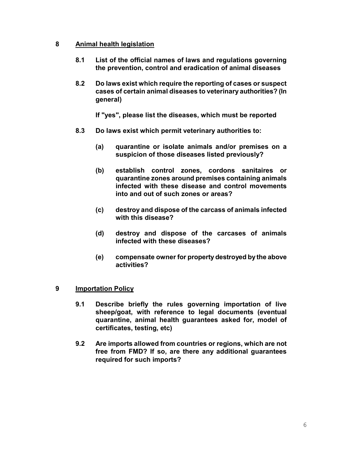# 8 Animal health legislation

- 8.1 List of the official names of laws and regulations governing the prevention, control and eradication of animal diseases
- 8.2 Do laws exist which require the reporting of cases or suspect cases of certain animal diseases to veterinary authorities? (In general)

If "yes", please list the diseases, which must be reported

- 8.3 Do laws exist which permit veterinary authorities to:
	- (a) quarantine or isolate animals and/or premises on a suspicion of those diseases listed previously?
	- (b) establish control zones, cordons sanitaires or quarantine zones around premises containing animals infected with these disease and control movements into and out of such zones or areas?
	- (c) destroy and dispose of the carcass of animals infected with this disease?
	- (d) destroy and dispose of the carcases of animals infected with these diseases?
	- (e) compensate owner for property destroyed by the above activities?

#### 9 Importation Policy

- 9.1 Describe briefly the rules governing importation of live sheep/goat, with reference to legal documents (eventual quarantine, animal health guarantees asked for, model of certificates, testing, etc)
- 9.2 Are imports allowed from countries or regions, which are not free from FMD? If so, are there any additional guarantees required for such imports?